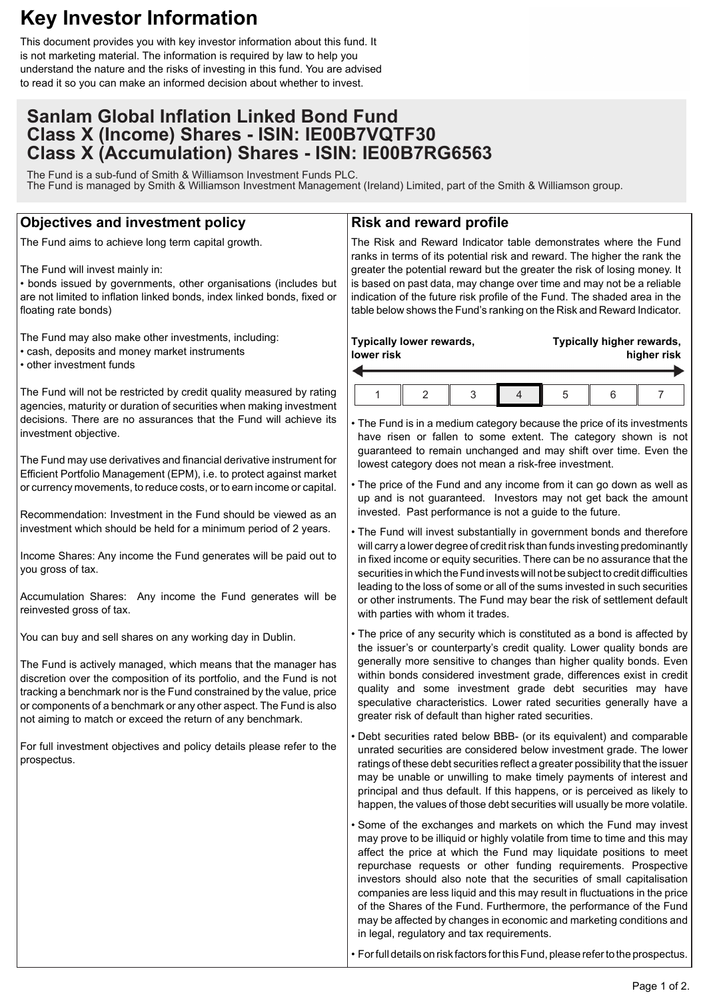# **Key Investor Information**

This document provides you with key investor information about this fund. It is not marketing material. The information is required by law to help you understand the nature and the risks of investing in this fund. You are advised to read it so you can make an informed decision about whether to invest.

# **Sanlam Global Inflation Linked Bond Fund Class X (Income) Shares - ISIN: IE00B7VQTF30 Class X (Accumulation) Shares - ISIN: IE00B7RG6563**

The Fund is a sub-fund of Smith & Williamson Investment Funds PLC. The Fund is managed by Smith & Williamson Investment Management (Ireland) Limited, part of the Smith & Williamson group.

## **Objectives and investment policy**

The Fund aims to achieve long term capital growth.

The Fund will invest mainly in:

• bonds issued by governments, other organisations (includes but are not limited to inflation linked bonds, index linked bonds, fixed or floating rate bonds)

The Fund may also make other investments, including: • cash, deposits and money market instruments • other investment funds

The Fund will not be restricted by credit quality measured by rating agencies, maturity or duration of securities when making investment decisions. There are no assurances that the Fund will achieve its investment objective.

The Fund may use derivatives and financial derivative instrument for Efficient Portfolio Management (EPM), i.e. to protect against market or currency movements, to reduce costs, or to earn income or capital.

Recommendation: Investment in the Fund should be viewed as an investment which should be held for a minimum period of 2 years.

Income Shares: Any income the Fund generates will be paid out to you gross of tax.

Accumulation Shares: Any income the Fund generates will be reinvested gross of tax.

You can buy and sell shares on any working day in Dublin.

The Fund is actively managed, which means that the manager has discretion over the composition of its portfolio, and the Fund is not tracking a benchmark nor is the Fund constrained by the value, price or components of a benchmark or any other aspect. The Fund is also not aiming to match or exceed the return of any benchmark.

For full investment objectives and policy details please refer to the prospectus.

### **Risk and reward profile**

The Risk and Reward Indicator table demonstrates where the Fund ranks in terms of its potential risk and reward. The higher the rank the greater the potential reward but the greater the risk of losing money. It is based on past data, may change over time and may not be a reliable indication of the future risk profile of the Fund. The shaded area in the table below shows the Fund's ranking on the Risk and Reward Indicator.

| lower risk | Typically lower rewards, |  | Typically higher rewards,<br>higher risk |  |  |  |
|------------|--------------------------|--|------------------------------------------|--|--|--|
|            |                          |  | b                                        |  |  |  |

• The Fund is in a medium category because the price of its investments have risen or fallen to some extent. The category shown is not guaranteed to remain unchanged and may shift over time. Even the lowest category does not mean a risk-free investment.

• The price of the Fund and any income from it can go down as well as up and is not guaranteed. Investors may not get back the amount invested. Past performance is not a guide to the future.

• The Fund will invest substantially in government bonds and therefore will carry a lower degree of credit risk than funds investing predominantly in fixed income or equity securities. There can be no assurance that the securities in which the Fund invests will not be subject to credit difficulties leading to the loss of some or all of the sums invested in such securities or other instruments. The Fund may bear the risk of settlement default with parties with whom it trades.

• The price of any security which is constituted as a bond is affected by the issuer's or counterparty's credit quality. Lower quality bonds are generally more sensitive to changes than higher quality bonds. Even within bonds considered investment grade, differences exist in credit quality and some investment grade debt securities may have speculative characteristics. Lower rated securities generally have a greater risk of default than higher rated securities.

• Debt securities rated below BBB- (or its equivalent) and comparable unrated securities are considered below investment grade. The lower ratings of these debt securities reflect a greater possibility that the issuer may be unable or unwilling to make timely payments of interest and principal and thus default. If this happens, or is perceived as likely to happen, the values of those debt securities will usually be more volatile.

• Some of the exchanges and markets on which the Fund may invest may prove to be illiquid or highly volatile from time to time and this may affect the price at which the Fund may liquidate positions to meet repurchase requests or other funding requirements. Prospective investors should also note that the securities of small capitalisation companies are less liquid and this may result in fluctuations in the price of the Shares of the Fund. Furthermore, the performance of the Fund may be affected by changes in economic and marketing conditions and in legal, regulatory and tax requirements.

• For full details on risk factors for this Fund, please refer to the prospectus.